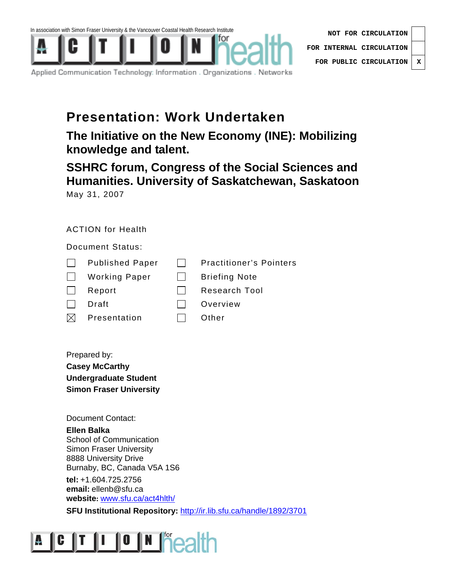

|  | Applied Communication Technology: Information . Organizations . Networks . |  |  |  |  |
|--|----------------------------------------------------------------------------|--|--|--|--|
|--|----------------------------------------------------------------------------|--|--|--|--|

## **Presentation: Work Undertaken**

**The Initiative on the New Economy (INE): Mobilizing knowledge and talent.** 

**SSHRC forum, Congress of the Social Sciences and Humanities. University of Saskatchewan, Saskatoon**  May 31, 2007

## ACTION for Health

Document Status:

| $\mathbf{L}$ | <b>Published Paper</b> |              | <b>Practitioner's Pointers</b> |  |
|--------------|------------------------|--------------|--------------------------------|--|
| $\Box$       | Working Paper          | $\mathbf{1}$ | <b>Briefing Note</b>           |  |
| $\mathbf{L}$ | Report                 |              | <b>Research Tool</b>           |  |
| $\mathbf{I}$ | Draft                  |              | Overview                       |  |
| $\boxtimes$  | Presentation           |              | Other                          |  |

Prepared by: **Casey McCarthy Undergraduate Student Simon Fraser University** 

Document Contact:

**Ellen Balka**  School of Communication Simon Fraser University 8888 University Drive Burnaby, BC, Canada V5A 1S6

**tel:** +1.604.725.2756 **email:** ellenb@sfu.ca **website:** www.sfu.ca/act4hlth/

**SFU Institutional Repository: http://ir.lib.sfu.ca/handle/1892/3701** 

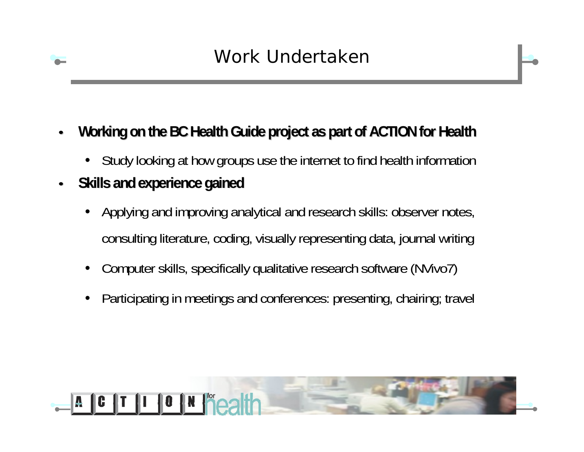- •**Working on the BC Health Guide project as part of ACTION for Health** 
	- Study looking at how groups use the internet to find health information
- $\bullet$  **Skills and experience gained Skills and experience gained**
	- • Applying and improving analytical and research skills: observer notes, consulting literature, coding, visually representing data, journal writing
	- •Computer skills, specifically qualitative research software (NVivo7)
	- •Participating in meetings and conferences: presenting, chairing; travel